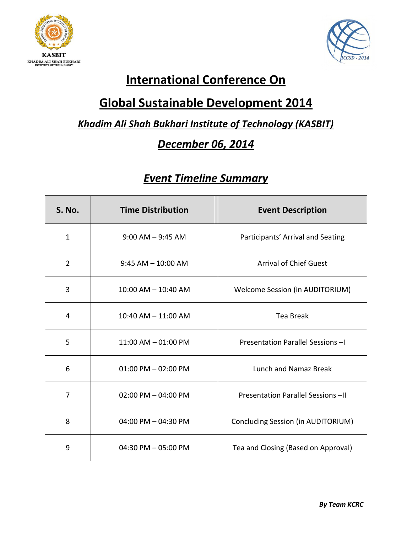



# **International Conference On**

# **Global Sustainable Development 2014**

### *Khadim Ali Shah Bukhari Institute of Technology (KASBIT)*

## *December 06, 2014*

## *Event Timeline Summary*

| <b>S. No.</b>  | <b>Time Distribution</b> | <b>Event Description</b>               |
|----------------|--------------------------|----------------------------------------|
| $\mathbf{1}$   | $9:00$ AM $-9:45$ AM     | Participants' Arrival and Seating      |
| $\overline{2}$ | $9:45$ AM $-10:00$ AM    | <b>Arrival of Chief Guest</b>          |
| 3              | $10:00$ AM $- 10:40$ AM  | <b>Welcome Session (in AUDITORIUM)</b> |
| 4              | $10:40$ AM $- 11:00$ AM  | <b>Tea Break</b>                       |
| 5              | $11:00$ AM $- 01:00$ PM  | Presentation Parallel Sessions -I      |
| 6              | $01:00$ PM $-02:00$ PM   | Lunch and Namaz Break                  |
| $\overline{7}$ | $02:00$ PM $- 04:00$ PM  | Presentation Parallel Sessions -II     |
| 8              | 04:00 PM - 04:30 PM      | Concluding Session (in AUDITORIUM)     |
| 9              | $04:30$ PM $-05:00$ PM   | Tea and Closing (Based on Approval)    |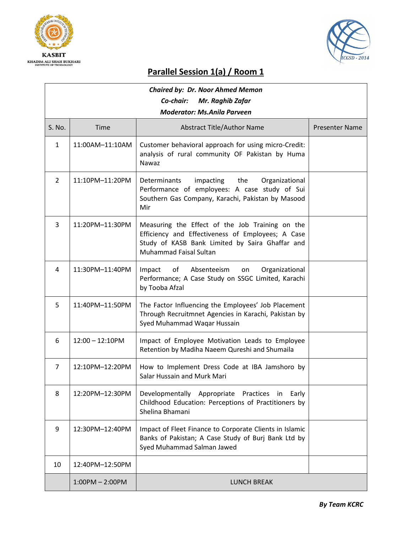



### **Parallel Session 1(a) / Room 1**

| <b>Chaired by: Dr. Noor Ahmed Memon</b><br>Co-chair:<br>Mr. Raghib Zafar<br><b>Moderator: Ms.Anila Parveen</b> |                    |                                                                                                                                                                                   |                       |
|----------------------------------------------------------------------------------------------------------------|--------------------|-----------------------------------------------------------------------------------------------------------------------------------------------------------------------------------|-----------------------|
| S. No.                                                                                                         | <b>Time</b>        | <b>Abstract Title/Author Name</b>                                                                                                                                                 | <b>Presenter Name</b> |
| $\mathbf{1}$                                                                                                   | 11:00AM-11:10AM    | Customer behavioral approach for using micro-Credit:<br>analysis of rural community OF Pakistan by Huma<br><b>Nawaz</b>                                                           |                       |
| $\overline{2}$                                                                                                 | 11:10PM-11:20PM    | impacting<br>the<br>Determinants<br>Organizational<br>Performance of employees: A case study of Sui<br>Southern Gas Company, Karachi, Pakistan by Masood<br>Mir                   |                       |
| 3                                                                                                              | 11:20PM-11:30PM    | Measuring the Effect of the Job Training on the<br>Efficiency and Effectiveness of Employees; A Case<br>Study of KASB Bank Limited by Saira Ghaffar and<br>Muhammad Faisal Sultan |                       |
| 4                                                                                                              | 11:30PM-11:40PM    | Absenteeism<br>Impact<br>of<br>Organizational<br>on<br>Performance; A Case Study on SSGC Limited, Karachi<br>by Tooba Afzal                                                       |                       |
| 5                                                                                                              | 11:40PM-11:50PM    | The Factor Influencing the Employees' Job Placement<br>Through Recruitmnet Agencies in Karachi, Pakistan by<br>Syed Muhammad Waqar Hussain                                        |                       |
| 6                                                                                                              | $12:00 - 12:10$ PM | Impact of Employee Motivation Leads to Employee<br>Retention by Madiha Naeem Qureshi and Shumaila                                                                                 |                       |
| 7                                                                                                              | 12:10PM-12:20PM    | How to Implement Dress Code at IBA Jamshoro by<br>Salar Hussain and Murk Mari                                                                                                     |                       |
| 8                                                                                                              | 12:20PM-12:30PM    | Developmentally Appropriate Practices in Early<br>Childhood Education: Perceptions of Practitioners by<br>Shelina Bhamani                                                         |                       |
| 9                                                                                                              | 12:30PM-12:40PM    | Impact of Fleet Finance to Corporate Clients in Islamic<br>Banks of Pakistan; A Case Study of Burj Bank Ltd by<br>Syed Muhammad Salman Jawed                                      |                       |
| 10                                                                                                             | 12:40PM-12:50PM    |                                                                                                                                                                                   |                       |
|                                                                                                                | $1:00PM - 2:00PM$  | <b>LUNCH BREAK</b>                                                                                                                                                                |                       |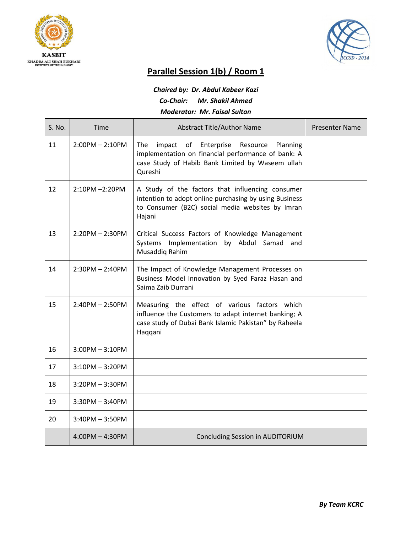



#### **Parallel Session 1(b) / Room 1**

| Chaired by: Dr. Abdul Kabeer Kazi    |                   |                                                                                                                                                                           |                       |  |
|--------------------------------------|-------------------|---------------------------------------------------------------------------------------------------------------------------------------------------------------------------|-----------------------|--|
| Co-Chair:<br><b>Mr. Shakil Ahmed</b> |                   |                                                                                                                                                                           |                       |  |
| <b>Moderator: Mr. Faisal Sultan</b>  |                   |                                                                                                                                                                           |                       |  |
| S. No.                               | <b>Time</b>       | <b>Abstract Title/Author Name</b>                                                                                                                                         | <b>Presenter Name</b> |  |
| 11                                   | $2:00PM - 2:10PM$ | The<br>of Enterprise Resource<br>Planning<br>impact<br>implementation on financial performance of bank: A<br>case Study of Habib Bank Limited by Waseem ullah<br>Qureshi  |                       |  |
| 12                                   | $2:10PM - 2:20PM$ | A Study of the factors that influencing consumer<br>intention to adopt online purchasing by using Business<br>to Consumer (B2C) social media websites by Imran<br>Hajani  |                       |  |
| 13                                   | $2:20PM - 2:30PM$ | Critical Success Factors of Knowledge Management<br>Systems Implementation by Abdul Samad and<br>Musaddiq Rahim                                                           |                       |  |
| 14                                   | $2:30PM - 2:40PM$ | The Impact of Knowledge Management Processes on<br>Business Model Innovation by Syed Faraz Hasan and<br>Saima Zaib Durrani                                                |                       |  |
| 15                                   | $2:40PM - 2:50PM$ | Measuring the effect of various factors which<br>influence the Customers to adapt internet banking; A<br>case study of Dubai Bank Islamic Pakistan" by Raheela<br>Haqqani |                       |  |
| 16                                   | $3:00PM - 3:10PM$ |                                                                                                                                                                           |                       |  |
| 17                                   | $3:10PM - 3:20PM$ |                                                                                                                                                                           |                       |  |
| 18                                   | $3:20PM - 3:30PM$ |                                                                                                                                                                           |                       |  |
| 19                                   | $3:30PM - 3:40PM$ |                                                                                                                                                                           |                       |  |
| 20                                   | $3:40PM - 3:50PM$ |                                                                                                                                                                           |                       |  |
|                                      | $4:00PM - 4:30PM$ | Concluding Session in AUDITORIUM                                                                                                                                          |                       |  |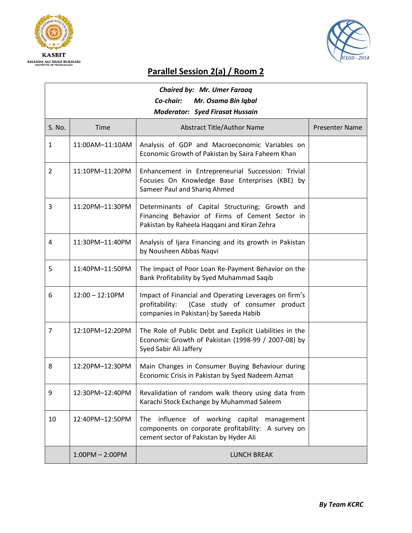



#### **Parallel Session 2(a) / Room 2**

| <b>Chaired by: Mr. Umer Farooq</b>     |                    |                                                                                                                                                      |                       |  |
|----------------------------------------|--------------------|------------------------------------------------------------------------------------------------------------------------------------------------------|-----------------------|--|
| Co-chair:<br>Mr. Osama Bin Iqbal       |                    |                                                                                                                                                      |                       |  |
| <b>Moderator: Syed Firasat Hussain</b> |                    |                                                                                                                                                      |                       |  |
| S. No.                                 | <b>Time</b>        | <b>Abstract Title/Author Name</b>                                                                                                                    | <b>Presenter Name</b> |  |
| $\mathbf{1}$                           | 11:00AM-11:10AM    | Analysis of GDP and Macroeconomic Variables on<br>Economic Growth of Pakistan by Saira Faheem Khan                                                   |                       |  |
| $\overline{2}$                         | 11:10PM-11:20PM    | Enhancement in Entrepreneurial Succession: Trivial<br>Focuses On Knowledge Base Enterprises (KBE) by<br>Sameer Paul and Shariq Ahmed                 |                       |  |
| 3                                      | 11:20PM-11:30PM    | Determinants of Capital Structuring; Growth and<br>Financing Behavior of Firms of Cement Sector in<br>Pakistan by Raheela Haqqani and Kiran Zehra    |                       |  |
| 4                                      | 11:30PM-11:40PM    | Analysis of Ijara Financing and its growth in Pakistan<br>by Nousheen Abbas Naqvi                                                                    |                       |  |
| 5                                      | 11:40PM-11:50PM    | The Impact of Poor Loan Re-Payment Behavior on the<br>Bank Profitability by Syed Muhammad Saqib                                                      |                       |  |
| 6                                      | $12:00 - 12:10$ PM | Impact of Financial and Operating Leverages on firm's<br>(Case study of consumer product<br>profitability:<br>companies in Pakistan) by Saeeda Habib |                       |  |
| $\overline{7}$                         | 12:10PM-12:20PM    | The Role of Public Debt and Explicit Liabilities in the<br>Economic Growth of Pakistan (1998-99 / 2007-08) by<br>Syed Sabir Ali Jaffery              |                       |  |
| 8                                      | 12:20PM-12:30PM    | Main Changes in Consumer Buying Behaviour during<br>Economic Crisis in Pakistan by Syed Nadeem Azmat                                                 |                       |  |
| 9                                      | 12:30PM-12:40PM    | Revalidation of random walk theory using data from<br>Karachi Stock Exchange by Muhammad Saleem                                                      |                       |  |
| 10                                     | 12:40PM-12:50PM    | influence of working capital<br>The<br>management<br>components on corporate profitability: A survey on<br>cement sector of Pakistan by Hyder Ali    |                       |  |
|                                        | $1:00PM - 2:00PM$  | <b>LUNCH BREAK</b>                                                                                                                                   |                       |  |